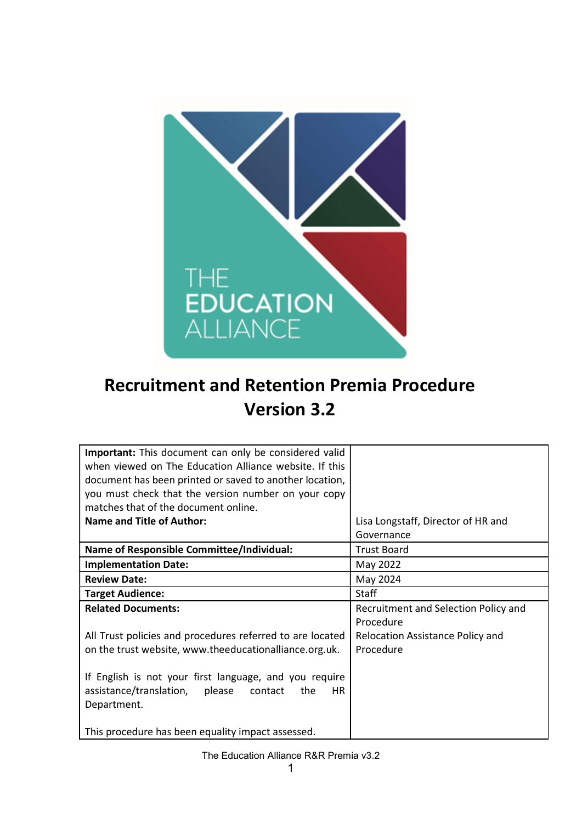

# Recruitment and Retention Premia Procedure Version 3.2

| <b>Important:</b> This document can only be considered valid |                                      |
|--------------------------------------------------------------|--------------------------------------|
| when viewed on The Education Alliance website. If this       |                                      |
| document has been printed or saved to another location,      |                                      |
| you must check that the version number on your copy          |                                      |
| matches that of the document online.                         |                                      |
| <b>Name and Title of Author:</b>                             | Lisa Longstaff, Director of HR and   |
|                                                              | Governance                           |
| <b>Name of Responsible Committee/Individual:</b>             | <b>Trust Board</b>                   |
| <b>Implementation Date:</b>                                  | May 2022                             |
| <b>Review Date:</b>                                          | May 2024                             |
| <b>Target Audience:</b>                                      | <b>Staff</b>                         |
| <b>Related Documents:</b>                                    | Recruitment and Selection Policy and |
|                                                              | Procedure                            |
| All Trust policies and procedures referred to are located    | Relocation Assistance Policy and     |
| on the trust website, www.theeducationalliance.org.uk.       | Procedure                            |
|                                                              |                                      |
| If English is not your first language, and you require       |                                      |
| assistance/translation, please<br>the<br>contact<br>HR.      |                                      |
| Department.                                                  |                                      |
|                                                              |                                      |
| This procedure has been equality impact assessed.            |                                      |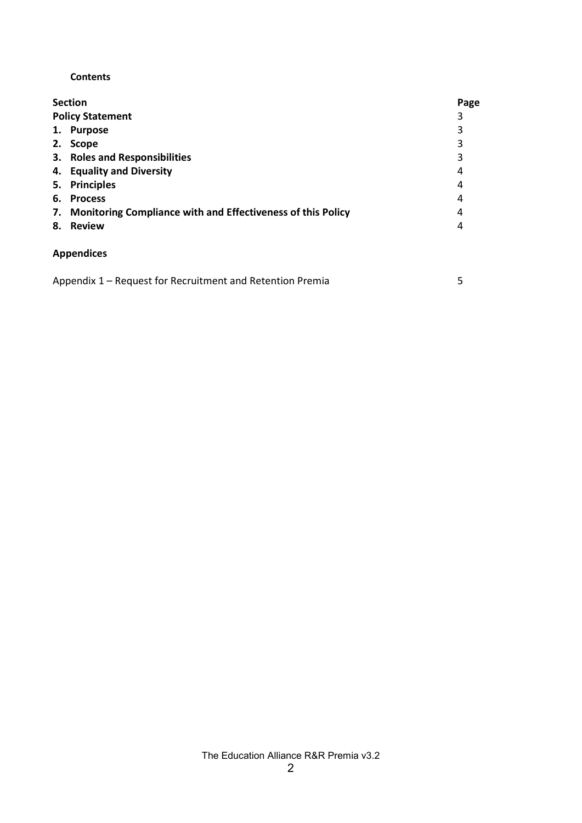#### **Contents**

| <b>Section</b>                                                    |   |  |
|-------------------------------------------------------------------|---|--|
| <b>Policy Statement</b>                                           | 3 |  |
| 1. Purpose                                                        | 3 |  |
| <b>Scope</b><br>2.                                                | 3 |  |
| 3. Roles and Responsibilities                                     | 3 |  |
| 4. Equality and Diversity                                         | 4 |  |
| 5. Principles                                                     | 4 |  |
| 6. Process                                                        | 4 |  |
| Monitoring Compliance with and Effectiveness of this Policy<br>7. | 4 |  |
| <b>Review</b><br>8.                                               | 4 |  |
| <b>Appendices</b>                                                 |   |  |
| Appendix 1 – Request for Recruitment and Retention Premia         | 5 |  |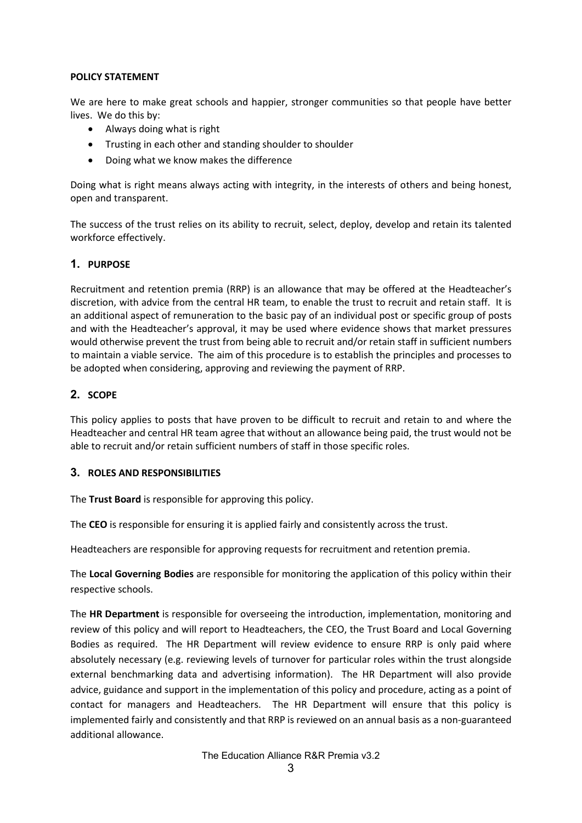#### POLICY STATEMENT

We are here to make great schools and happier, stronger communities so that people have better lives. We do this by:

- Always doing what is right
- Trusting in each other and standing shoulder to shoulder
- Doing what we know makes the difference

Doing what is right means always acting with integrity, in the interests of others and being honest, open and transparent.

The success of the trust relies on its ability to recruit, select, deploy, develop and retain its talented workforce effectively.

#### 1. PURPOSE

Recruitment and retention premia (RRP) is an allowance that may be offered at the Headteacher's discretion, with advice from the central HR team, to enable the trust to recruit and retain staff. It is an additional aspect of remuneration to the basic pay of an individual post or specific group of posts and with the Headteacher's approval, it may be used where evidence shows that market pressures would otherwise prevent the trust from being able to recruit and/or retain staff in sufficient numbers to maintain a viable service. The aim of this procedure is to establish the principles and processes to be adopted when considering, approving and reviewing the payment of RRP.

#### 2. SCOPE

This policy applies to posts that have proven to be difficult to recruit and retain to and where the Headteacher and central HR team agree that without an allowance being paid, the trust would not be able to recruit and/or retain sufficient numbers of staff in those specific roles.

#### 3. ROLES AND RESPONSIBILITIES

The Trust Board is responsible for approving this policy.

The CEO is responsible for ensuring it is applied fairly and consistently across the trust.

Headteachers are responsible for approving requests for recruitment and retention premia.

The Local Governing Bodies are responsible for monitoring the application of this policy within their respective schools.

The HR Department is responsible for overseeing the introduction, implementation, monitoring and review of this policy and will report to Headteachers, the CEO, the Trust Board and Local Governing Bodies as required. The HR Department will review evidence to ensure RRP is only paid where absolutely necessary (e.g. reviewing levels of turnover for particular roles within the trust alongside external benchmarking data and advertising information). The HR Department will also provide advice, guidance and support in the implementation of this policy and procedure, acting as a point of contact for managers and Headteachers. The HR Department will ensure that this policy is implemented fairly and consistently and that RRP is reviewed on an annual basis as a non-guaranteed additional allowance.

The Education Alliance R&R Premia v3.2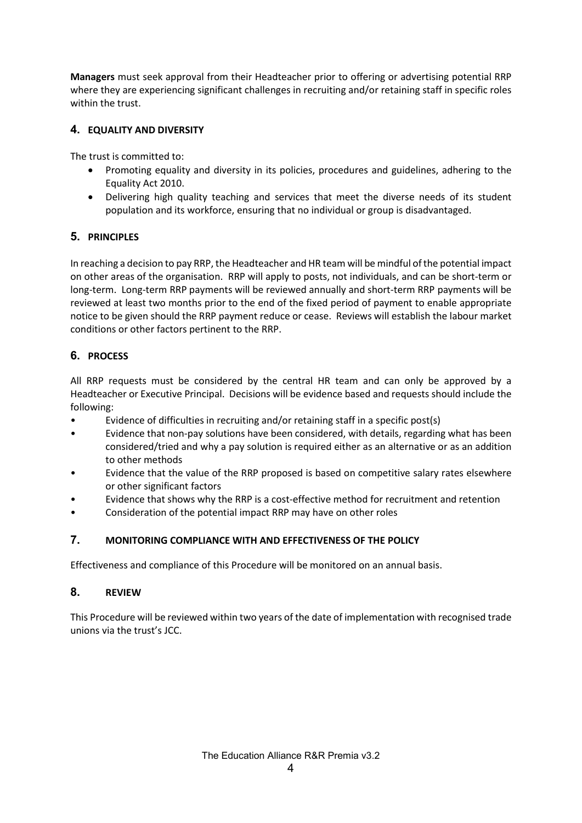Managers must seek approval from their Headteacher prior to offering or advertising potential RRP where they are experiencing significant challenges in recruiting and/or retaining staff in specific roles within the trust.

## 4. EQUALITY AND DIVERSITY

The trust is committed to:

- Promoting equality and diversity in its policies, procedures and guidelines, adhering to the Equality Act 2010.
- Delivering high quality teaching and services that meet the diverse needs of its student population and its workforce, ensuring that no individual or group is disadvantaged.

## 5. PRINCIPLES

In reaching a decision to pay RRP, the Headteacher and HR team will be mindful of the potential impact on other areas of the organisation. RRP will apply to posts, not individuals, and can be short-term or long-term. Long-term RRP payments will be reviewed annually and short-term RRP payments will be reviewed at least two months prior to the end of the fixed period of payment to enable appropriate notice to be given should the RRP payment reduce or cease. Reviews will establish the labour market conditions or other factors pertinent to the RRP.

## 6. PROCESS

All RRP requests must be considered by the central HR team and can only be approved by a Headteacher or Executive Principal. Decisions will be evidence based and requests should include the following:

- Evidence of difficulties in recruiting and/or retaining staff in a specific post(s)
- Evidence that non-pay solutions have been considered, with details, regarding what has been considered/tried and why a pay solution is required either as an alternative or as an addition to other methods
- Evidence that the value of the RRP proposed is based on competitive salary rates elsewhere or other significant factors
- Evidence that shows why the RRP is a cost-effective method for recruitment and retention
- Consideration of the potential impact RRP may have on other roles

## 7. MONITORING COMPLIANCE WITH AND EFFECTIVENESS OF THE POLICY

Effectiveness and compliance of this Procedure will be monitored on an annual basis.

## 8. REVIEW

This Procedure will be reviewed within two years of the date of implementation with recognised trade unions via the trust's JCC.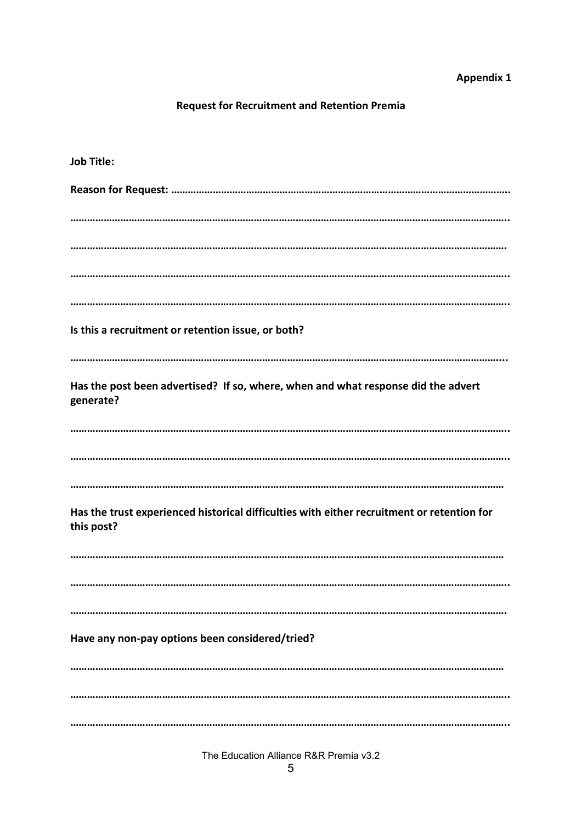## **Appendix 1**

# **Request for Recruitment and Retention Premia**

| <b>Job Title:</b>                                                                                        |
|----------------------------------------------------------------------------------------------------------|
|                                                                                                          |
|                                                                                                          |
|                                                                                                          |
|                                                                                                          |
|                                                                                                          |
| Is this a recruitment or retention issue, or both?                                                       |
|                                                                                                          |
| Has the post been advertised? If so, where, when and what response did the advert<br>generate?           |
|                                                                                                          |
|                                                                                                          |
|                                                                                                          |
| Has the trust experienced historical difficulties with either recruitment or retention for<br>this post? |
|                                                                                                          |
|                                                                                                          |
|                                                                                                          |
| Have any non-pay options been considered/tried?                                                          |
|                                                                                                          |
|                                                                                                          |
|                                                                                                          |

The Education Alliance R&R Premia v3.2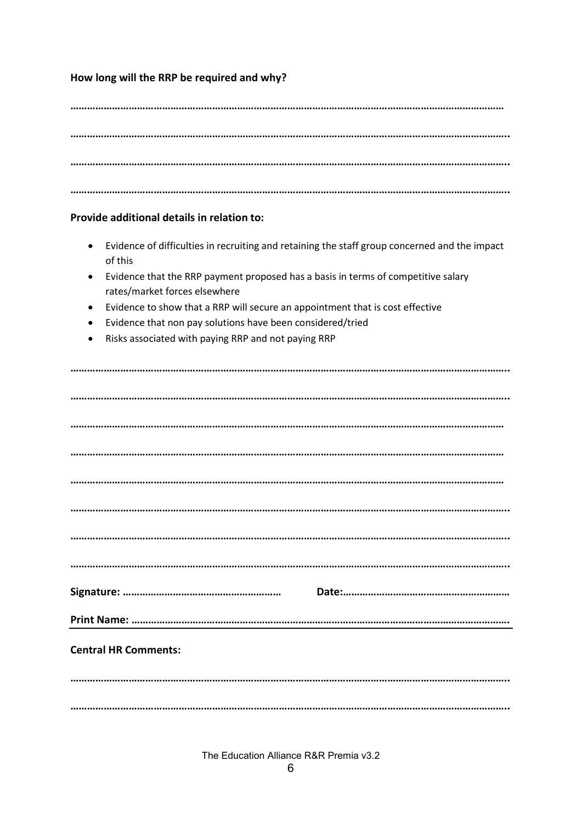### How long will the RRP be required and why?

#### Provide additional details in relation to:

- Evidence of difficulties in recruiting and retaining the staff group concerned and the impact of this
- Evidence that the RRP payment proposed has a basis in terms of competitive salary rates/market forces elsewhere
- Evidence to show that a RRP will secure an appointment that is cost effective
- Evidence that non pay solutions have been considered/tried
- Risks associated with paying RRP and not paying RRP

| <b>Central HR Comments:</b> |  |
|-----------------------------|--|
|                             |  |
|                             |  |

The Education Alliance R&R Premia v3.2